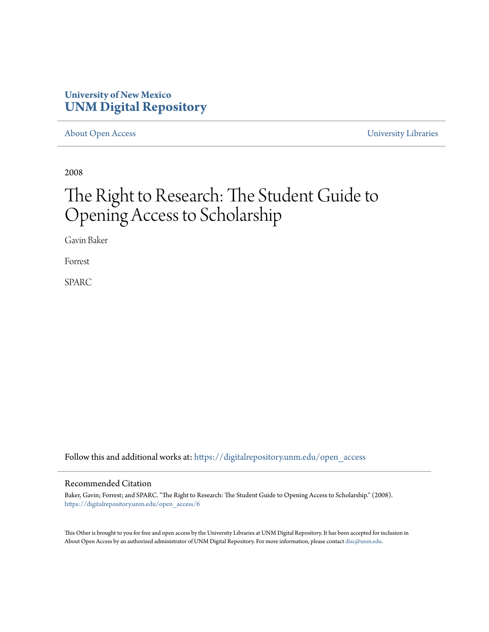### **University of New Mexico [UNM Digital Repository](https://digitalrepository.unm.edu?utm_source=digitalrepository.unm.edu%2Fopen_access%2F6&utm_medium=PDF&utm_campaign=PDFCoverPages)**

[About Open Access](https://digitalrepository.unm.edu/open_access?utm_source=digitalrepository.unm.edu%2Fopen_access%2F6&utm_medium=PDF&utm_campaign=PDFCoverPages) [University Libraries](https://digitalrepository.unm.edu/libraries?utm_source=digitalrepository.unm.edu%2Fopen_access%2F6&utm_medium=PDF&utm_campaign=PDFCoverPages)

2008

## The Right to Research: The Student Guide to Opening Access to Scholarship

Gavin Baker

Forrest

SPARC

Follow this and additional works at: [https://digitalrepository.unm.edu/open\\_access](https://digitalrepository.unm.edu/open_access?utm_source=digitalrepository.unm.edu%2Fopen_access%2F6&utm_medium=PDF&utm_campaign=PDFCoverPages)

#### Recommended Citation

Baker, Gavin; Forrest; and SPARC. "The Right to Research: The Student Guide to Opening Access to Scholarship." (2008). [https://digitalrepository.unm.edu/open\\_access/6](https://digitalrepository.unm.edu/open_access/6?utm_source=digitalrepository.unm.edu%2Fopen_access%2F6&utm_medium=PDF&utm_campaign=PDFCoverPages)

This Other is brought to you for free and open access by the University Libraries at UNM Digital Repository. It has been accepted for inclusion in About Open Access by an authorized administrator of UNM Digital Repository. For more information, please contact [disc@unm.edu.](mailto:disc@unm.edu)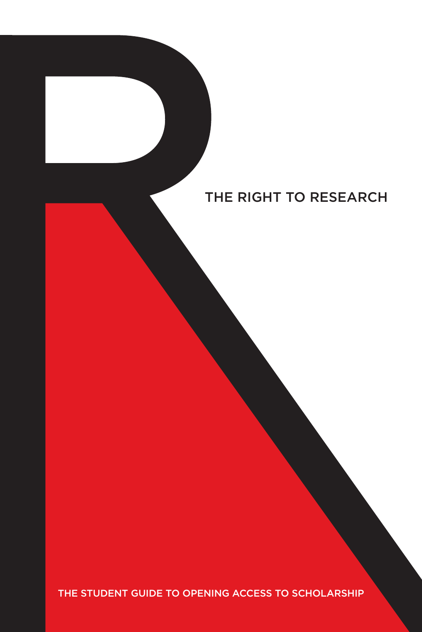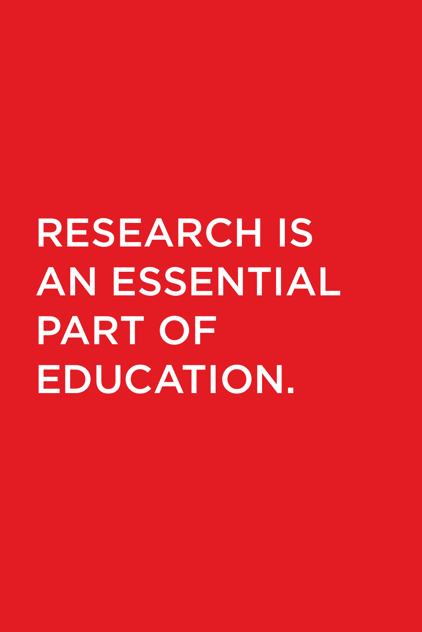## RESEARCH IS AN ESSENTIAL PART OF EDUCATION.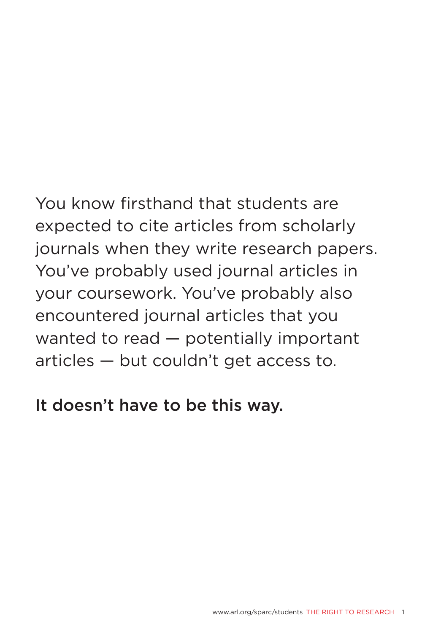## You know firsthand that students are expected to cite articles from scholarly journals when they write research papers. You've probably used journal articles in your coursework. You've probably also encountered journal articles that you wanted to read — potentially important articles — but couldn't get access to.

## It doesn't have to be this way.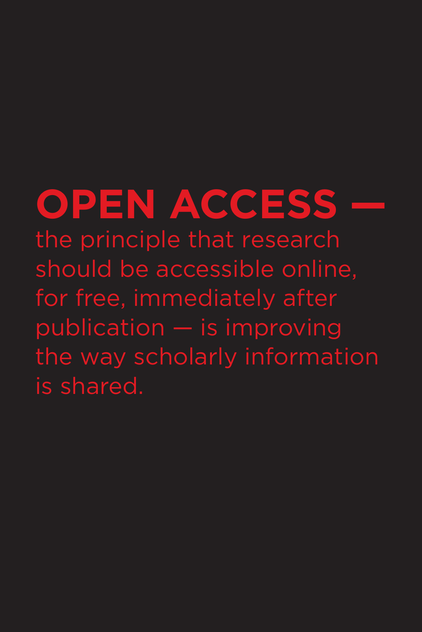# **OPEN ACCESS —**

the principle that research should be accessible online, for free, immediately after publication — is improving the way scholarly information is shared.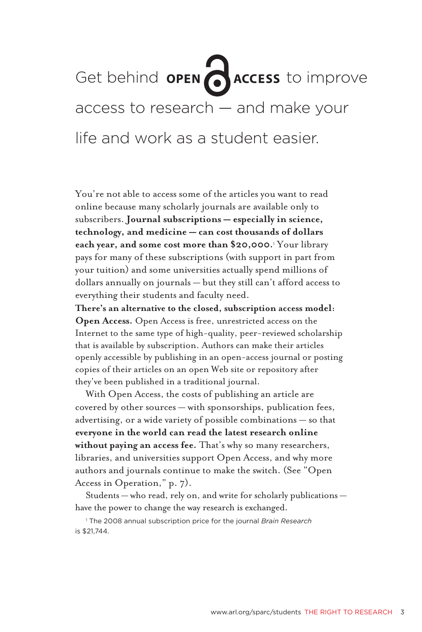## Get behind **OPEN CACCESS** to improve access to research — and make your life and work as a student easier.

You're not able to access some of the articles you want to read online because many scholarly journals are available only to subscribers. **Journal subscriptions — especially in science, technology, and medicine — can cost thousands of dollars each year, and some cost more than \$20,000.**<sup>1</sup> Your library pays for many of these subscriptions (with support in part from your tuition) and some universities actually spend millions of dollars annually on journals — but they still can't afford access to everything their students and faculty need.

**There's an alternative to the closed, subscription access model: Open Access.** Open Access is free, unrestricted access on the Internet to the same type of high-quality, peer-reviewed scholarship that is available by subscription. Authors can make their articles openly accessible by publishing in an open-access journal or posting copies of their articles on an open Web site or repository after they've been published in a traditional journal.

With Open Access, the costs of publishing an article are covered by other sources — with sponsorships, publication fees, advertising, or a wide variety of possible combinations — so that **everyone in the world can read the latest research online without paying an access fee.** That's why so many researchers, libraries, and universities support Open Access, and why more authors and journals continue to make the switch. (See "Open Access in Operation," p. 7).

Students — who read, rely on, and write for scholarly publications have the power to change the way research is exchanged.

1 The 2008 annual subscription price for the journal *Brain Research* is \$21,744.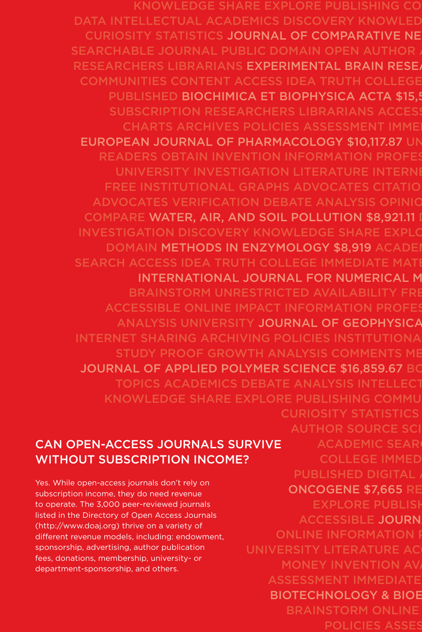KNOWLEDGE SHARE EXPLORE PUBLISHING CO DATA INTELLECTUAL ACADEMICS DISCOVERY KNOWLED CURIOSITY STATISTICS JOURNAL OF COMPARATIVE NE SEARCHABLE JOURNAL PUBLIC DOMAIN OPEN AUTHOR RESEARCHERS LIBRARIANS EXPERIMENTAL BRAIN RESE COMMUNITIES CONTENT ACCESS IDEA TRUTH COLLEGE PUBLISHED BIOCHIMICA ET BIOPHYSICA ACTA \$15.5 SUBSCRIPTION RESEARCHERS LIBRARIANS ACCESS CHARTS ARCHIVES POLICIES ASSESSMENT IMME EUROPEAN JOURNAL OF PHARMACOLOGY \$10,117.87 UN READERS OBTAIN INVENTION INFORMATION PROFES UNIVERSITY INVESTIGATION LITERATURE INTERNE FREE INSTITUTIONAL GRAPHS ADVOCATES CITATIO ADVOCATES VERIFICATION DEBATE ANALYSIS OPINIO COMPARE WATER, AIR, AND SOIL POLLUTION \$8,921.11 INVESTIGATION DISCOVERY KNOWLEDGE SHARE EXPLO DOMAIN METHODS IN ENZYMOLOGY \$8.919 ACADEI SEARCH ACCESS IDEA TRUTH COLLEGE IMMEDIATE MATI INTERNATIONAL JOURNAL FOR NUMERICAL M BRAINSTORM UNRESTRICTED AVAILABILITY FRE ACCESSIBLE ONLINE IMPACT INFORMATION PROFES ANALYSIS UNIVERSITY JOURNAL OF GEOPHYSICA INTERNET SHARING ARCHIVING POLICIES INSTITUTIONA STUDY PROOF GROWTH ANALYSIS COMMENTS ME JOURNAL OF APPLIED POLYMER SCIENCE \$16,859.67 BO TOPICS ACADEMICS DEBATE ANALYSIS INTELLECT KNOWLEDGE SHARE EXPLORE PUBLISHING COMMU CURIOSITY STATISTICS

### CAN OPEN-ACCESS JOURNALS SURVIVE WITHOUT SUBSCRIPTION INCOME?

Yes. While open-access journals don't rely on subscription income, they do need revenue to operate. The 3,000 peer-reviewed journals listed in the Directory of Open Access Journals (http://www.doaj.org) thrive on a variety of different revenue models, including: endowment, sponsorship, advertising, author publication fees, donations, membership, university- or department-sponsorship, and others.

AUTHOR SOURCE SCI **ACADEMIC SEAR** COLLEGE IMMED PUBLISHED DIGITAL ONCOGENE \$7,665 RE EXPLORE PUBLISH ACCESSIBLE JOURN ONLINE INFORMATION **F** UNIVERSITY LITERATURE AC **MONEY INVENTION AV** ASSESSMENT IMMEDIATE BIOTECHNOLOGY & BIOE BRAINSTORM ONLINE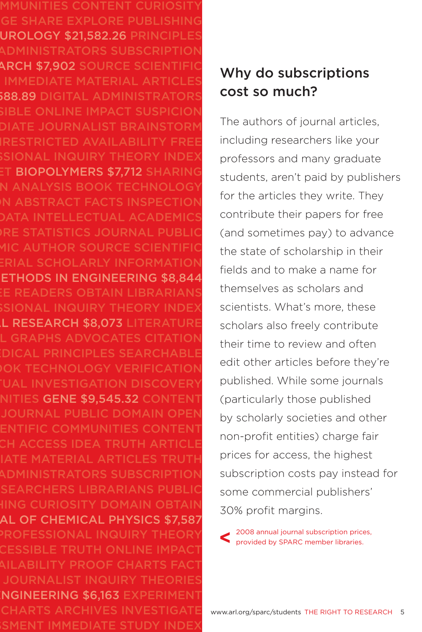MMUNITIES CONTENT CURIOSITY GE SHARE EXPLORE PUBLISHING OGY \$21.582.26 ADMINISTRATORS SUBSCRIPTION ARCH \$7.902 SOURCE MEDIATE MAT 588.89 D SIBLE ONLINE IMPACT SUSPICION DIATE JOURNALIST BRAINSTORM NRESTRICTED AVAILABILITY FREE SSIONAL INQUIRY THEORY INDEX BIOPOLYMERS \$7.712 N ANALYSIS BOOK TECHNOLOGY IN ABSTRACT FACTS INSPECTION TUAL AC **RE STATISTICS JOURNAL PUBLIC** MIC AUTHOR SOURCE SCIENTIFIC ERIAL SCHOLARLY INFORMATION HODS IN ENGINE READERS OBTAIN SSIONAL INQUIRY THEORY INDEX L RESEARCH \$8.073 L RAPHS A EDICAL PRINCIPLES SEARCHABLE OOK TECHNOLOGY VERIFICATION UAL INVESTIGATION DISCOVERY **GENE \$9.545.32** JOURNAL PUBLIC DOMAIN OPEN ENTIFIC COMMUNITIES CONTENT CH ACCESS IDEA TRUTH ARTICLE IATE MATERIAL ARTICLES TRUTH ADMINISTRATORS SUBSCRIPTION SEARCHERS LIBRARIANS PUBLIC HING CURIOSITY DOMAIN OBTAIN AL OF CHEMICAL PHYSICS \$7,587 PROFESSIONAL INQUIRY THEORY CESSIBLE TRUTH ONLINE IMPACT AILABILITY PROOF CHARTS FACT JOURNALIST INQUIRY THEORIES NGINEERING \$6,163 EXPERIMENT CHARTS ARCHIVES INVESTIGATE SSMENT IMMEDIATE STUDY INDEX

## Why do subscriptions cost so much?

The authors of journal articles, including researchers like your professors and many graduate students, aren't paid by publishers for the articles they write. They contribute their papers for free (and sometimes pay) to advance the state of scholarship in their fields and to make a name for themselves as scholars and scientists. What's more, these scholars also freely contribute their time to review and often edit other articles before they're published. While some journals (particularly those published by scholarly societies and other non-profit entities) charge fair prices for access, the highest subscription costs pay instead for some commercial publishers' 30% profit margins.

2008 annual journal subscription prices, provided by SPARC member libraries. **<**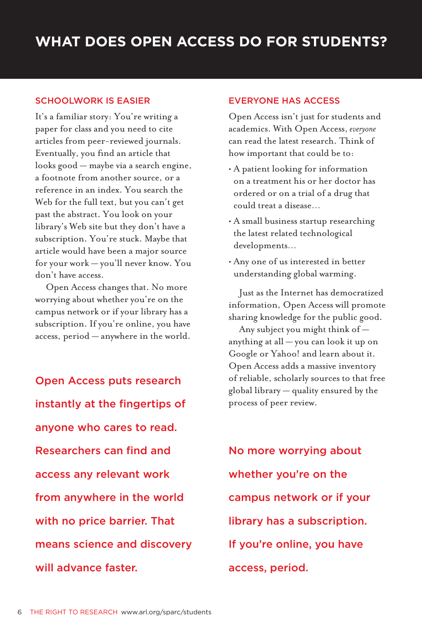#### SCHOOLWORK IS EASIER

It's a familiar story: You're writing a paper for class and you need to cite articles from peer-reviewed journals. Eventually, you find an article that looks good — maybe via a search engine, a footnote from another source, or a reference in an index. You search the Web for the full text, but you can't get past the abstract. You look on your library's Web site but they don't have a subscription. You're stuck. Maybe that article would have been a major source for your work — you'll never know. You don't have access.

Open Access changes that. No more worrying about whether you're on the campus network or if your library has a subscription. If you're online, you have access, period — anywhere in the world.

Open Access puts research instantly at the fingertips of anyone who cares to read. Researchers can find and access any relevant work from anywhere in the world with no price barrier. That means science and discovery will advance faster.

#### EVERYONE HAS ACCESS

Open Access isn't just for students and academics. With Open Access, *everyone* can read the latest research. Think of how important that could be to:

- A patient looking for information on a treatment his or her doctor has ordered or on a trial of a drug that could treat a disease…
- A small business startup researching the latest related technological developments…
- Any one of us interested in better understanding global warming.

Just as the Internet has democratized information, Open Access will promote sharing knowledge for the public good.

Any subject you might think of anything at all — you can look it up on Google or Yahoo! and learn about it. Open Access adds a massive inventory of reliable, scholarly sources to that free global library — quality ensured by the process of peer review.

No more worrying about whether you're on the campus network or if your library has a subscription. If you're online, you have access, period.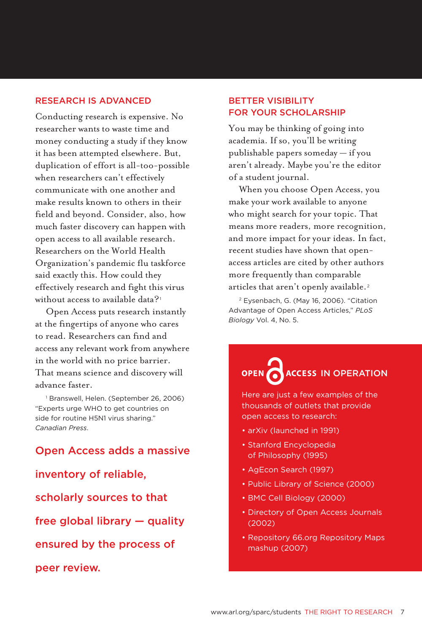#### RESEARCH IS ADVANCED

Conducting research is expensive. No researcher wants to waste time and money conducting a study if they know it has been attempted elsewhere. But, duplication of effort is all-too-possible when researchers can't effectively communicate with one another and make results known to others in their field and beyond. Consider, also, how much faster discovery can happen with open access to all available research. Researchers on the World Health Organization's pandemic flu taskforce said exactly this. How could they effectively research and fight this virus without access to available data?<sup>1</sup>

Open Access puts research instantly at the fingertips of anyone who cares to read. Researchers can find and access any relevant work from anywhere in the world with no price barrier. That means science and discovery will advance faster.

1 Branswell, Helen. (September 26, 2006) "Experts urge WHO to get countries on side for routine H5N1 virus sharing." *Canadian Press*.

Open Access adds a massive inventory of reliable, scholarly sources to that free global library — quality ensured by the process of peer review.

#### BETTER VISIBILITY FOR YOUR SCHOLARSHIP

You may be thinking of going into academia. If so, you'll be writing publishable papers someday — if you aren't already. Maybe you're the editor of a student journal.

When you choose Open Access, you make your work available to anyone who might search for your topic. That means more readers, more recognition, and more impact for your ideas. In fact, recent studies have shown that openaccess articles are cited by other authors more frequently than comparable articles that aren't openly available.<sup>2</sup>

2 Eysenbach, G. (May 16, 2006). "Citation Advantage of Open Access Articles," *PLoS Biology* Vol. 4, No. 5.

OPEN ACCESS IN OPERATION

Here are just a few examples of the thousands of outlets that provide open access to research:

- arXiv (launched in 1991)
- Stanford Encyclopedia of Philosophy (1995)
- AgEcon Search (1997)
- Public Library of Science (2000)
- BMC Cell Biology (2000)
- Directory of Open Access Journals (2002)
- Repository 66.org Repository Maps mashup (2007)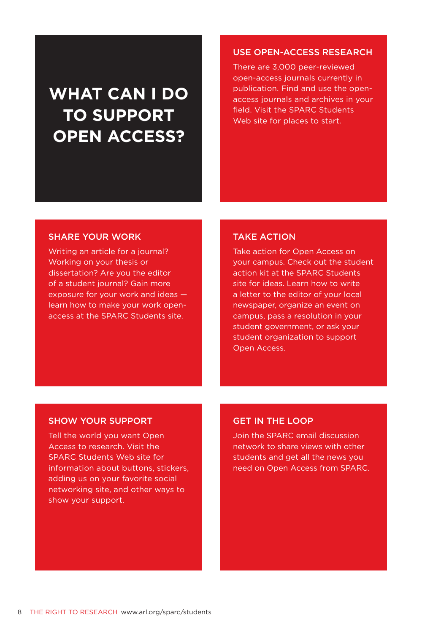## **WHAT CAN I DO TO SUPPORT OPEN ACCESS?**

#### USE OPEN-ACCESS RESEARCH

There are 3,000 peer-reviewed open-access journals currently in publication. Find and use the openaccess journals and archives in your field. Visit the SPARC Students Web site for places to start.

#### SHARE YOUR WORK

Writing an article for a journal? Working on your thesis or dissertation? Are you the editor of a student journal? Gain more exposure for your work and ideas learn how to make your work openaccess at the SPARC Students site.

#### TAKE ACTION

Take action for Open Access on your campus. Check out the student action kit at the SPARC Students site for ideas. Learn how to write a letter to the editor of your local newspaper, organize an event on campus, pass a resolution in your student government, or ask your student organization to support Open Access.

#### SHOW YOUR SUPPORT

Tell the world you want Open Access to research. Visit the SPARC Students Web site for information about buttons, stickers, adding us on your favorite social networking site, and other ways to show your support.

#### GET IN THE LOOP

Join the SPARC email discussion network to share views with other students and get all the news you need on Open Access from SPARC.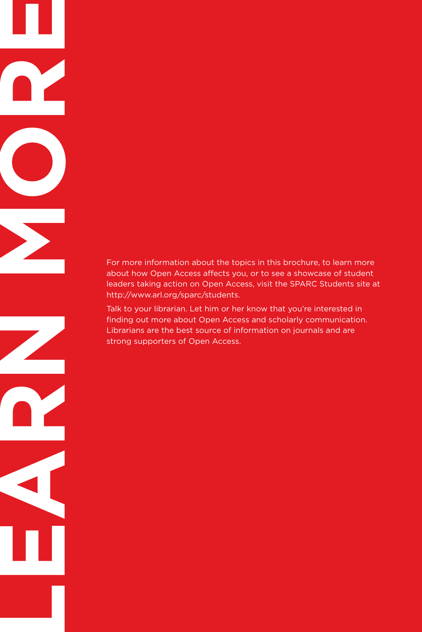For more information about the topics in this brochure, to learn more about how Open Access affects you, or to see a showcase of student leaders taking action on Open Access, visit the SPARC Students site at http://www.arl.org/sparc/students.

Talk to your librarian. Let him or her know that you're interested in finding out more about Open Access and scholarly communication. Librarians are the best source of information on journals and are strong supporters of Open Access.